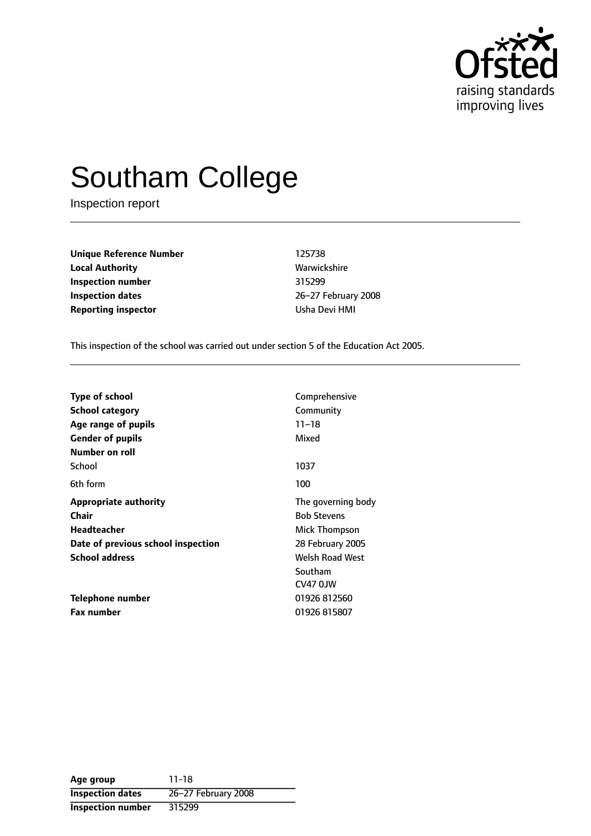

# Southam College

Inspection report

**Unique Reference Number** 125738 **Local Authority Mathority** Warwickshire **Inspection number** 315299 **Inspection dates** 26-27 February 2008 **Reporting inspector CONFIDENTIAL REPORTING USha Devi HMI** 

This inspection of the school was carried out under section 5 of the Education Act 2005.

| <b>Type of school</b>              | Comprehensive          |  |
|------------------------------------|------------------------|--|
|                                    |                        |  |
| School category                    | Community              |  |
| Age range of pupils                | $11 - 18$              |  |
| <b>Gender of pupils</b>            | Mixed                  |  |
| Number on roll                     |                        |  |
| School                             | 1037                   |  |
| 6th form                           | 100                    |  |
| <b>Appropriate authority</b>       | The governing body     |  |
| Chair                              | <b>Bob Stevens</b>     |  |
| <b>Headteacher</b>                 | Mick Thompson          |  |
| Date of previous school inspection | 28 February 2005       |  |
| <b>School address</b>              | <b>Welsh Road West</b> |  |
|                                    | Southam                |  |
|                                    | CV47 OJW               |  |
| Telephone number                   | 01926 812560           |  |
| <b>Fax number</b>                  | 01926 815807           |  |

**Age group** 11-18 **Inspection dates** 26-27 February 2008 **Inspection number** 315299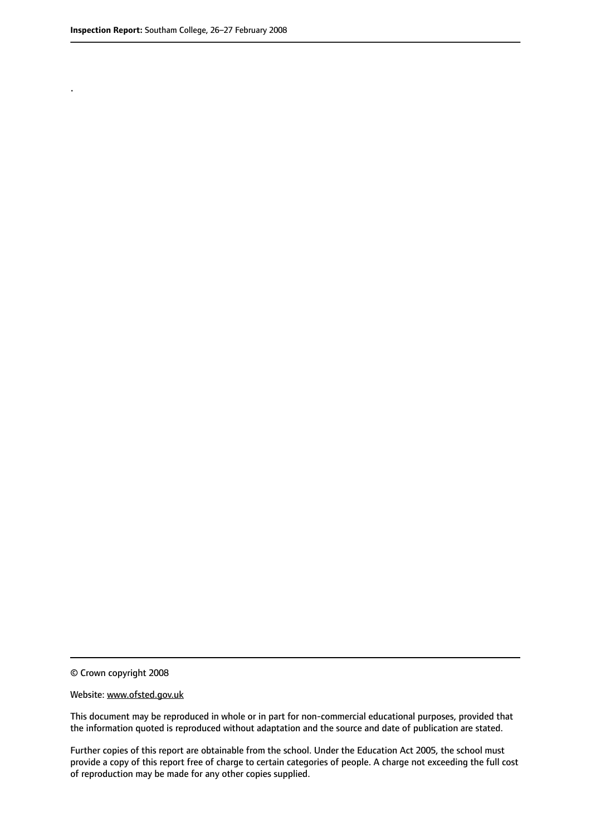.

© Crown copyright 2008

#### Website: www.ofsted.gov.uk

This document may be reproduced in whole or in part for non-commercial educational purposes, provided that the information quoted is reproduced without adaptation and the source and date of publication are stated.

Further copies of this report are obtainable from the school. Under the Education Act 2005, the school must provide a copy of this report free of charge to certain categories of people. A charge not exceeding the full cost of reproduction may be made for any other copies supplied.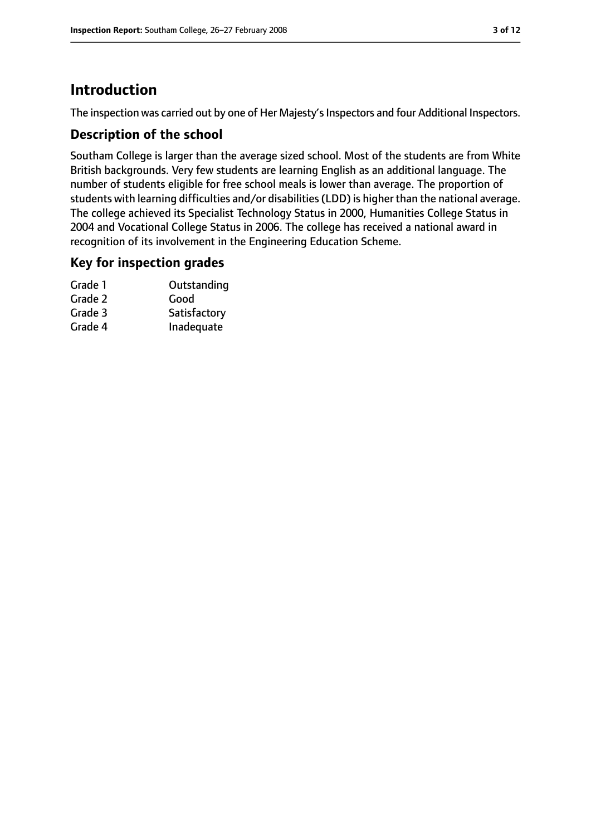# **Introduction**

The inspection was carried out by one of Her Majesty's Inspectors and four Additional Inspectors.

### **Description of the school**

Southam College is larger than the average sized school. Most of the students are from White British backgrounds. Very few students are learning English as an additional language. The number of students eligible for free school meals is lower than average. The proportion of students with learning difficulties and/or disabilities(LDD) is higher than the national average. The college achieved its Specialist Technology Status in 2000, Humanities College Status in 2004 and Vocational College Status in 2006. The college has received a national award in recognition of its involvement in the Engineering Education Scheme.

#### **Key for inspection grades**

| Grade 1 | Outstanding  |
|---------|--------------|
| Grade 2 | Good         |
| Grade 3 | Satisfactory |
| Grade 4 | Inadequate   |
|         |              |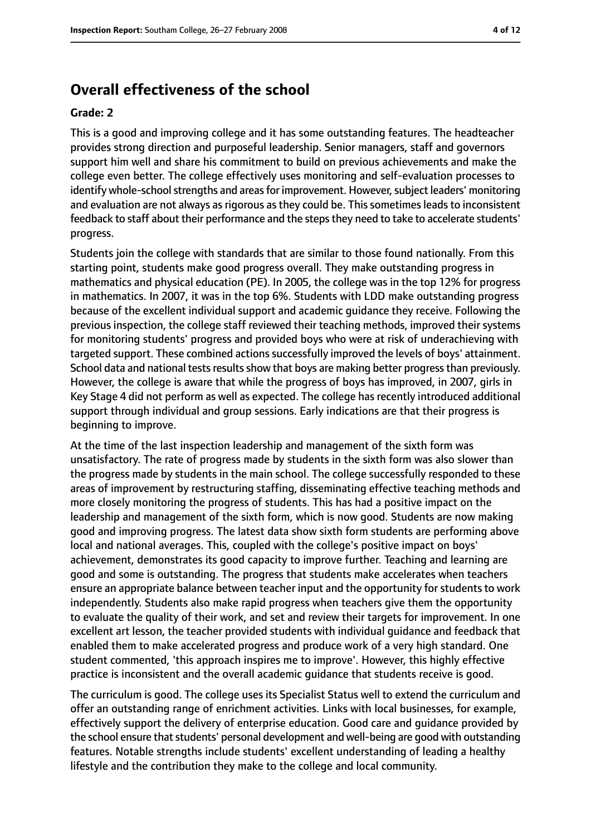## **Overall effectiveness of the school**

#### **Grade: 2**

This is a good and improving college and it has some outstanding features. The headteacher provides strong direction and purposeful leadership. Senior managers, staff and governors support him well and share his commitment to build on previous achievements and make the college even better. The college effectively uses monitoring and self-evaluation processes to identify whole-school strengths and areas for improvement. However, subject leaders' monitoring and evaluation are not always as rigorous as they could be. This sometimes leads to inconsistent feedback to staff about their performance and the stepsthey need to take to accelerate students' progress.

Students join the college with standards that are similar to those found nationally. From this starting point, students make good progress overall. They make outstanding progress in mathematics and physical education (PE). In 2005, the college was in the top 12% for progress in mathematics. In 2007, it was in the top 6%. Students with LDD make outstanding progress because of the excellent individual support and academic guidance they receive. Following the previous inspection, the college staff reviewed their teaching methods, improved their systems for monitoring students' progress and provided boys who were at risk of underachieving with targeted support. These combined actions successfully improved the levels of boys' attainment. School data and national tests results show that boys are making better progress than previously. However, the college is aware that while the progress of boys has improved, in 2007, girls in Key Stage 4 did not perform as well as expected. The college has recently introduced additional support through individual and group sessions. Early indications are that their progress is beginning to improve.

At the time of the last inspection leadership and management of the sixth form was unsatisfactory. The rate of progress made by students in the sixth form was also slower than the progress made by students in the main school. The college successfully responded to these areas of improvement by restructuring staffing, disseminating effective teaching methods and more closely monitoring the progress of students. This has had a positive impact on the leadership and management of the sixth form, which is now good. Students are now making good and improving progress. The latest data show sixth form students are performing above local and national averages. This, coupled with the college's positive impact on boys' achievement, demonstrates its good capacity to improve further. Teaching and learning are good and some is outstanding. The progress that students make accelerates when teachers ensure an appropriate balance between teacher input and the opportunity for students to work independently. Students also make rapid progress when teachers give them the opportunity to evaluate the quality of their work, and set and review their targets for improvement. In one excellent art lesson, the teacher provided students with individual guidance and feedback that enabled them to make accelerated progress and produce work of a very high standard. One student commented, 'this approach inspires me to improve'. However, this highly effective practice is inconsistent and the overall academic guidance that students receive is good.

The curriculum is good. The college uses its Specialist Status well to extend the curriculum and offer an outstanding range of enrichment activities. Links with local businesses, for example, effectively support the delivery of enterprise education. Good care and guidance provided by the school ensure that students' personal development and well-being are good with outstanding features. Notable strengths include students' excellent understanding of leading a healthy lifestyle and the contribution they make to the college and local community.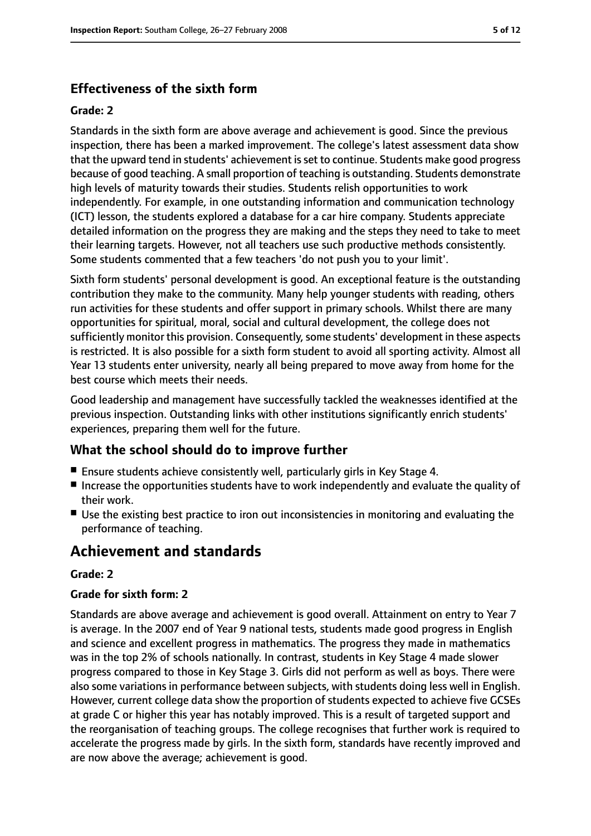# **Effectiveness of the sixth form**

#### **Grade: 2**

Standards in the sixth form are above average and achievement is good. Since the previous inspection, there has been a marked improvement. The college's latest assessment data show that the upward tend in students' achievement isset to continue. Students make good progress because of good teaching. A small proportion of teaching is outstanding. Students demonstrate high levels of maturity towards their studies. Students relish opportunities to work independently. For example, in one outstanding information and communication technology (ICT) lesson, the students explored a database for a car hire company. Students appreciate detailed information on the progress they are making and the steps they need to take to meet their learning targets. However, not all teachers use such productive methods consistently. Some students commented that a few teachers 'do not push you to your limit'.

Sixth form students' personal development is good. An exceptional feature is the outstanding contribution they make to the community. Many help younger students with reading, others run activities for these students and offer support in primary schools. Whilst there are many opportunities for spiritual, moral, social and cultural development, the college does not sufficiently monitor this provision. Consequently, some students' development in these aspects is restricted. It is also possible for a sixth form student to avoid all sporting activity. Almost all Year 13 students enter university, nearly all being prepared to move away from home for the best course which meets their needs.

Good leadership and management have successfully tackled the weaknesses identified at the previous inspection. Outstanding links with other institutions significantly enrich students' experiences, preparing them well for the future.

#### **What the school should do to improve further**

- Ensure students achieve consistently well, particularly girls in Key Stage 4.
- Increase the opportunities students have to work independently and evaluate the quality of their work.
- Use the existing best practice to iron out inconsistencies in monitoring and evaluating the performance of teaching.

# **Achievement and standards**

#### **Grade: 2**

#### **Grade for sixth form: 2**

Standards are above average and achievement is good overall. Attainment on entry to Year 7 is average. In the 2007 end of Year 9 national tests, students made good progress in English and science and excellent progress in mathematics. The progress they made in mathematics was in the top 2% of schools nationally. In contrast, students in Key Stage 4 made slower progress compared to those in Key Stage 3. Girls did not perform as well as boys. There were also some variations in performance between subjects, with students doing less well in English. However, current college data show the proportion of students expected to achieve five GCSEs at grade C or higher this year has notably improved. This is a result of targeted support and the reorganisation of teaching groups. The college recognises that further work is required to accelerate the progress made by girls. In the sixth form, standards have recently improved and are now above the average; achievement is good.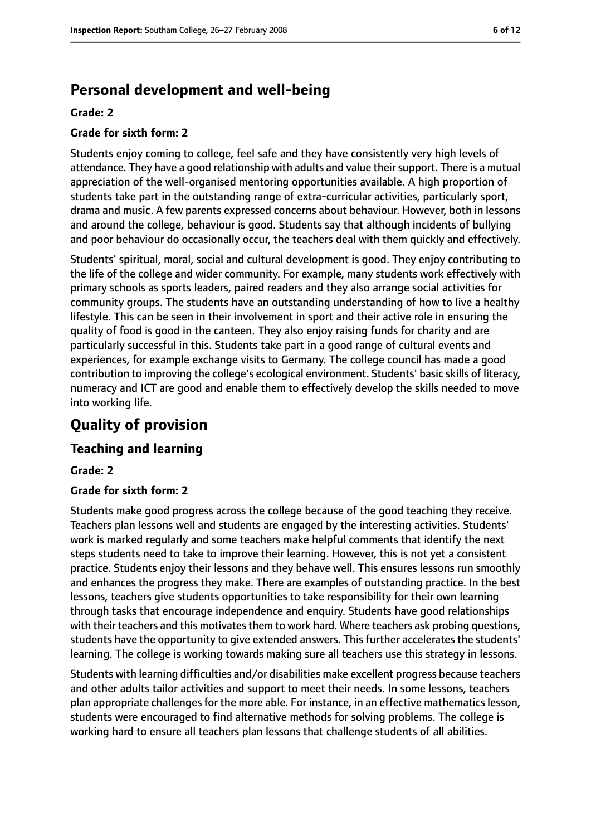# **Personal development and well-being**

#### **Grade: 2**

#### **Grade for sixth form: 2**

Students enjoy coming to college, feel safe and they have consistently very high levels of attendance. They have a good relationship with adults and value their support. There is a mutual appreciation of the well-organised mentoring opportunities available. A high proportion of students take part in the outstanding range of extra-curricular activities, particularly sport, drama and music. A few parents expressed concerns about behaviour. However, both in lessons and around the college, behaviour is good. Students say that although incidents of bullying and poor behaviour do occasionally occur, the teachers deal with them quickly and effectively.

Students' spiritual, moral, social and cultural development is good. They enjoy contributing to the life of the college and wider community. For example, many students work effectively with primary schools as sports leaders, paired readers and they also arrange social activities for community groups. The students have an outstanding understanding of how to live a healthy lifestyle. This can be seen in their involvement in sport and their active role in ensuring the quality of food is good in the canteen. They also enjoy raising funds for charity and are particularly successful in this. Students take part in a good range of cultural events and experiences, for example exchange visits to Germany. The college council has made a good contribution to improving the college's ecological environment. Students' basic skills of literacy, numeracy and ICT are good and enable them to effectively develop the skills needed to move into working life.

# **Quality of provision**

#### **Teaching and learning**

#### **Grade: 2**

#### **Grade for sixth form: 2**

Students make good progress across the college because of the good teaching they receive. Teachers plan lessons well and students are engaged by the interesting activities. Students' work is marked regularly and some teachers make helpful comments that identify the next steps students need to take to improve their learning. However, this is not yet a consistent practice. Students enjoy their lessons and they behave well. This ensures lessons run smoothly and enhances the progress they make. There are examples of outstanding practice. In the best lessons, teachers give students opportunities to take responsibility for their own learning through tasks that encourage independence and enquiry. Students have good relationships with their teachers and this motivates them to work hard. Where teachers ask probing questions, students have the opportunity to give extended answers. This further accelerates the students' learning. The college is working towards making sure all teachers use this strategy in lessons.

Students with learning difficulties and/or disabilities make excellent progress because teachers and other adults tailor activities and support to meet their needs. In some lessons, teachers plan appropriate challenges for the more able. For instance, in an effective mathematics lesson, students were encouraged to find alternative methods for solving problems. The college is working hard to ensure all teachers plan lessons that challenge students of all abilities.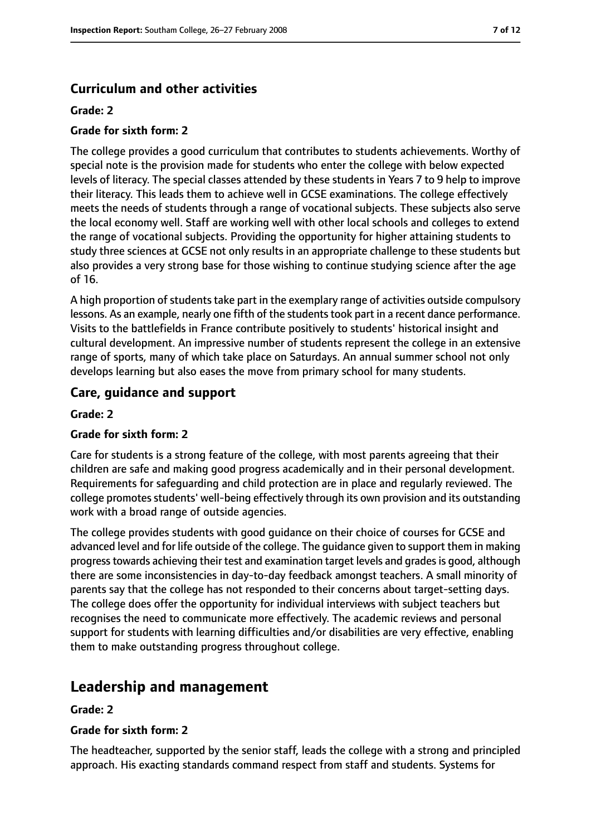## **Curriculum and other activities**

#### **Grade: 2**

#### **Grade for sixth form: 2**

The college provides a good curriculum that contributes to students achievements. Worthy of special note is the provision made for students who enter the college with below expected levels of literacy. The special classes attended by these students in Years 7 to 9 help to improve their literacy. This leads them to achieve well in GCSE examinations. The college effectively meets the needs of students through a range of vocational subjects. These subjects also serve the local economy well. Staff are working well with other local schools and colleges to extend the range of vocational subjects. Providing the opportunity for higher attaining students to study three sciences at GCSE not only results in an appropriate challenge to these students but also provides a very strong base for those wishing to continue studying science after the age of 16.

A high proportion of students take part in the exemplary range of activities outside compulsory lessons. As an example, nearly one fifth of the students took part in a recent dance performance. Visits to the battlefields in France contribute positively to students' historical insight and cultural development. An impressive number of students represent the college in an extensive range of sports, many of which take place on Saturdays. An annual summer school not only develops learning but also eases the move from primary school for many students.

#### **Care, guidance and support**

#### **Grade: 2**

#### **Grade for sixth form: 2**

Care for students is a strong feature of the college, with most parents agreeing that their children are safe and making good progress academically and in their personal development. Requirements for safeguarding and child protection are in place and regularly reviewed. The college promotes students' well-being effectively through its own provision and its outstanding work with a broad range of outside agencies.

The college provides students with good guidance on their choice of courses for GCSE and advanced level and for life outside of the college. The guidance given to support them in making progress towards achieving their test and examination target levels and grades is good, although there are some inconsistencies in day-to-day feedback amongst teachers. A small minority of parents say that the college has not responded to their concerns about target-setting days. The college does offer the opportunity for individual interviews with subject teachers but recognises the need to communicate more effectively. The academic reviews and personal support for students with learning difficulties and/or disabilities are very effective, enabling them to make outstanding progress throughout college.

# **Leadership and management**

#### **Grade: 2**

#### **Grade for sixth form: 2**

The headteacher, supported by the senior staff, leads the college with a strong and principled approach. His exacting standards command respect from staff and students. Systems for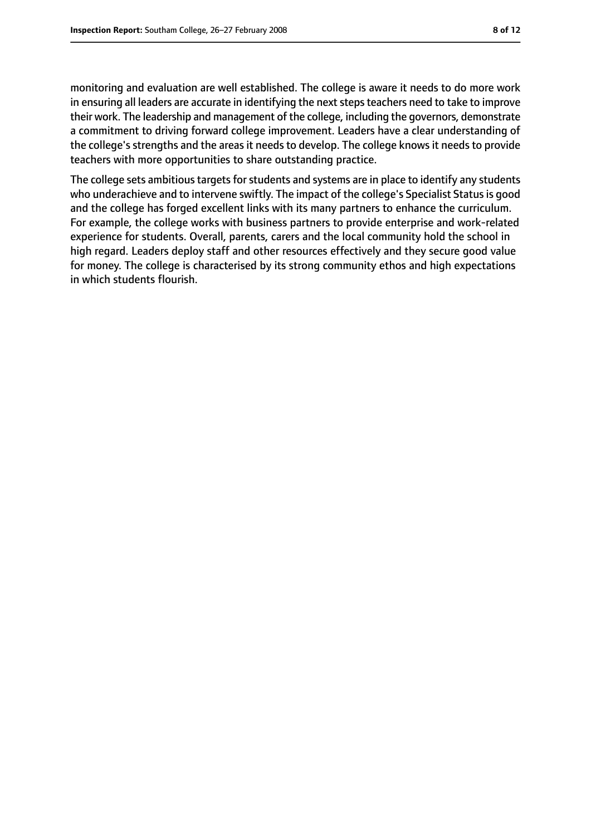monitoring and evaluation are well established. The college is aware it needs to do more work in ensuring all leaders are accurate in identifying the next steps teachers need to take to improve their work. The leadership and management of the college, including the governors, demonstrate a commitment to driving forward college improvement. Leaders have a clear understanding of the college's strengths and the areas it needs to develop. The college knows it needs to provide teachers with more opportunities to share outstanding practice.

The college sets ambitious targets for students and systems are in place to identify any students who underachieve and to intervene swiftly. The impact of the college's Specialist Status is good and the college has forged excellent links with its many partners to enhance the curriculum. For example, the college works with business partners to provide enterprise and work-related experience for students. Overall, parents, carers and the local community hold the school in high regard. Leaders deploy staff and other resources effectively and they secure good value for money. The college is characterised by its strong community ethos and high expectations in which students flourish.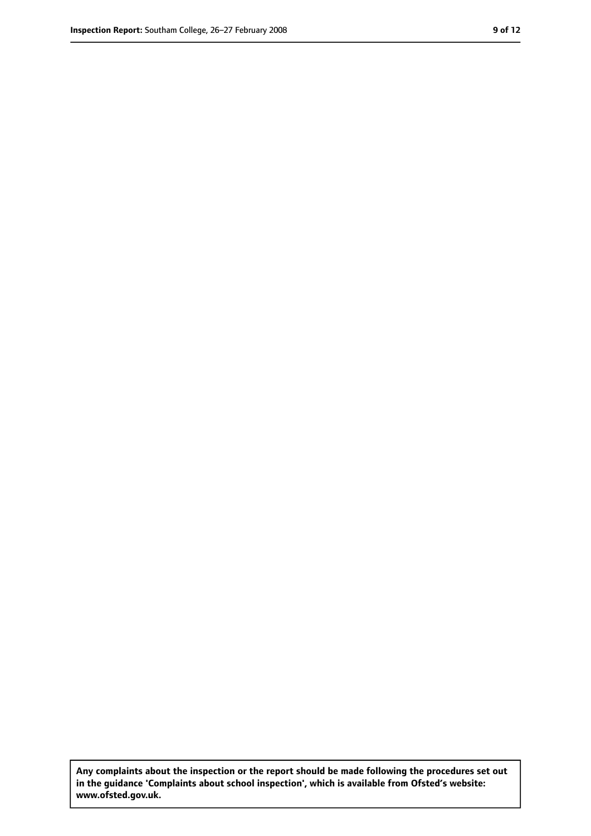**Any complaints about the inspection or the report should be made following the procedures set out in the guidance 'Complaints about school inspection', which is available from Ofsted's website: www.ofsted.gov.uk.**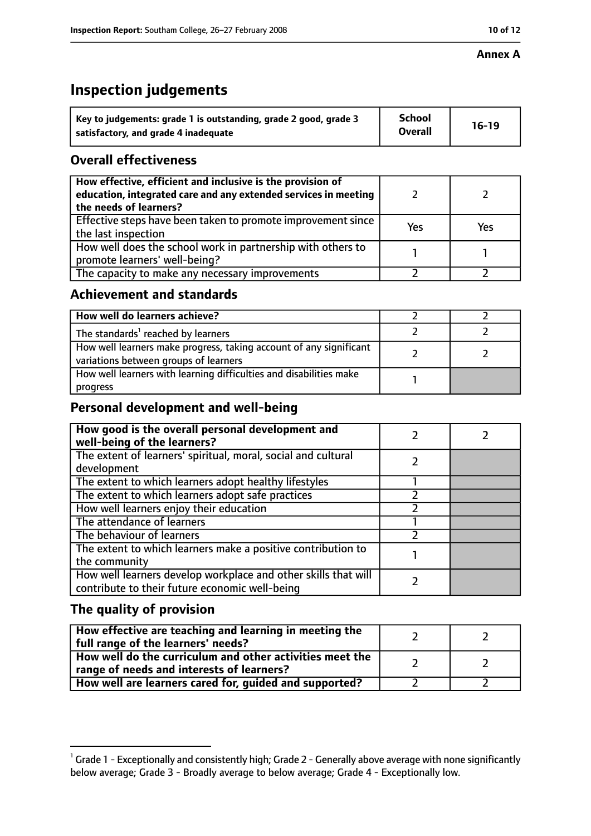#### **Annex A**

# **Inspection judgements**

| Key to judgements: grade 1 is outstanding, grade 2 good, grade 3 | <b>School</b>  | $16-19$ |
|------------------------------------------------------------------|----------------|---------|
| satisfactory, and grade 4 inadequate                             | <b>Overall</b> |         |

## **Overall effectiveness**

| How effective, efficient and inclusive is the provision of<br>education, integrated care and any extended services in meeting<br>the needs of learners? |     |     |
|---------------------------------------------------------------------------------------------------------------------------------------------------------|-----|-----|
| Effective steps have been taken to promote improvement since<br>the last inspection                                                                     | Yes | Yes |
| How well does the school work in partnership with others to<br>promote learners' well-being?                                                            |     |     |
| The capacity to make any necessary improvements                                                                                                         |     |     |

## **Achievement and standards**

| How well do learners achieve?                                                                               |  |
|-------------------------------------------------------------------------------------------------------------|--|
| The standards <sup>1</sup> reached by learners                                                              |  |
| How well learners make progress, taking account of any significant<br>variations between groups of learners |  |
| How well learners with learning difficulties and disabilities make<br>progress                              |  |

# **Personal development and well-being**

| How good is the overall personal development and<br>well-being of the learners?                                  |  |
|------------------------------------------------------------------------------------------------------------------|--|
| The extent of learners' spiritual, moral, social and cultural                                                    |  |
| development                                                                                                      |  |
| The extent to which learners adopt healthy lifestyles                                                            |  |
| The extent to which learners adopt safe practices                                                                |  |
| How well learners enjoy their education                                                                          |  |
| The attendance of learners                                                                                       |  |
| The behaviour of learners                                                                                        |  |
| The extent to which learners make a positive contribution to                                                     |  |
| the community                                                                                                    |  |
| How well learners develop workplace and other skills that will<br>contribute to their future economic well-being |  |

# **The quality of provision**

| How effective are teaching and learning in meeting the<br>full range of the learners' needs?          |  |
|-------------------------------------------------------------------------------------------------------|--|
| How well do the curriculum and other activities meet the<br>range of needs and interests of learners? |  |
| How well are learners cared for, guided and supported?                                                |  |

 $^1$  Grade 1 - Exceptionally and consistently high; Grade 2 - Generally above average with none significantly below average; Grade 3 - Broadly average to below average; Grade 4 - Exceptionally low.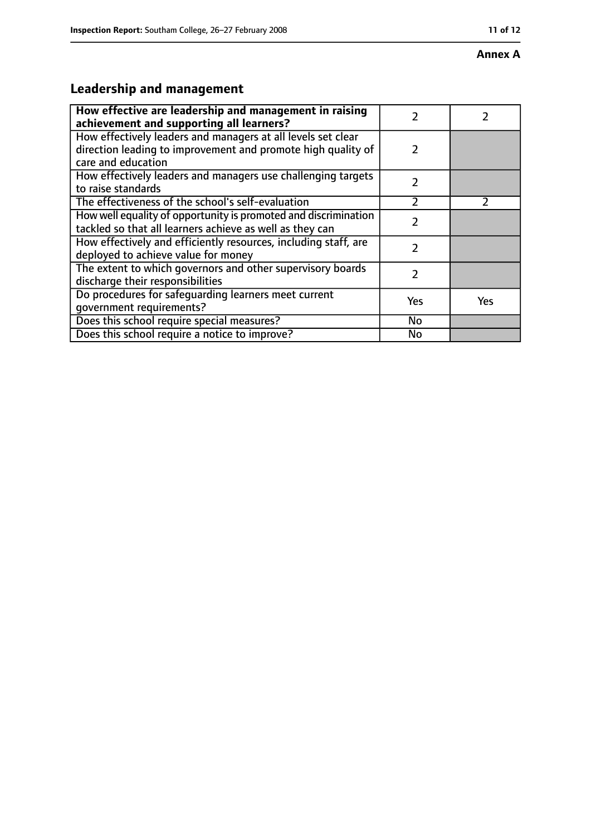#### **Annex A**

# **Leadership and management**

| How effective are leadership and management in raising<br>achievement and supporting all learners?                                                 |               |     |
|----------------------------------------------------------------------------------------------------------------------------------------------------|---------------|-----|
| How effectively leaders and managers at all levels set clear<br>direction leading to improvement and promote high quality of<br>care and education | $\mathcal{P}$ |     |
| How effectively leaders and managers use challenging targets<br>to raise standards                                                                 | $\mathcal{P}$ |     |
| The effectiveness of the school's self-evaluation                                                                                                  | フ             |     |
| How well equality of opportunity is promoted and discrimination<br>tackled so that all learners achieve as well as they can                        | 2             |     |
| How effectively and efficiently resources, including staff, are<br>deployed to achieve value for money                                             | $\mathfrak z$ |     |
| The extent to which governors and other supervisory boards<br>discharge their responsibilities                                                     | $\mathfrak z$ |     |
| Do procedures for safequarding learners meet current<br>qovernment requirements?                                                                   | Yes           | Yes |
| Does this school require special measures?                                                                                                         | No            |     |
| Does this school require a notice to improve?                                                                                                      | No            |     |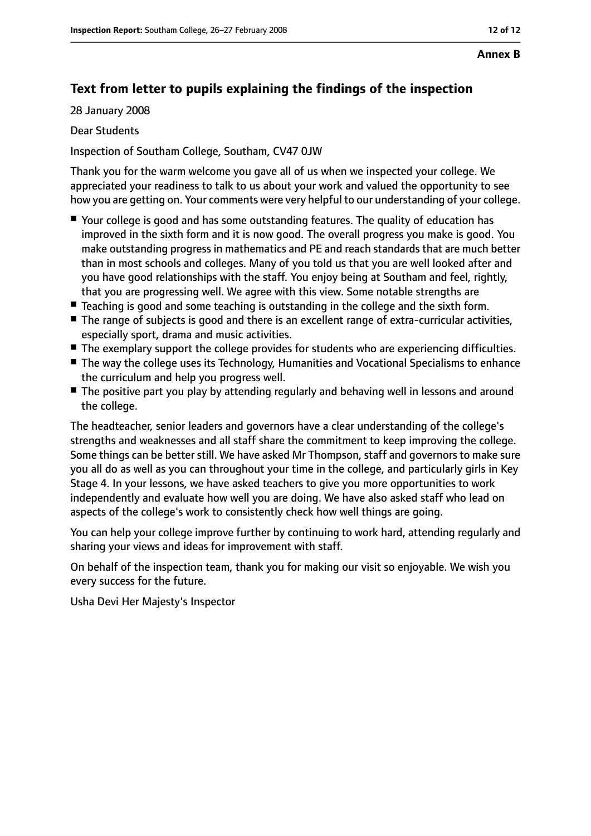#### **Annex B**

# **Text from letter to pupils explaining the findings of the inspection**

28 January 2008

Dear Students

Inspection of Southam College, Southam, CV47 0JW

Thank you for the warm welcome you gave all of us when we inspected your college. We appreciated your readiness to talk to us about your work and valued the opportunity to see how you are getting on. Your comments were very helpful to our understanding of your college.

- Your college is good and has some outstanding features. The quality of education has improved in the sixth form and it is now good. The overall progress you make is good. You make outstanding progress in mathematics and PE and reach standards that are much better than in most schools and colleges. Many of you told us that you are well looked after and you have good relationships with the staff. You enjoy being at Southam and feel, rightly, that you are progressing well. We agree with this view. Some notable strengths are
- Teaching is good and some teaching is outstanding in the college and the sixth form.
- The range of subjects is good and there is an excellent range of extra-curricular activities, especially sport, drama and music activities.
- The exemplary support the college provides for students who are experiencing difficulties.
- The way the college uses its Technology, Humanities and Vocational Specialisms to enhance the curriculum and help you progress well.
- The positive part you play by attending regularly and behaving well in lessons and around the college.

The headteacher, senior leaders and governors have a clear understanding of the college's strengths and weaknesses and all staff share the commitment to keep improving the college. Some things can be better still. We have asked Mr Thompson, staff and governors to make sure you all do as well as you can throughout your time in the college, and particularly girls in Key Stage 4. In your lessons, we have asked teachers to give you more opportunities to work independently and evaluate how well you are doing. We have also asked staff who lead on aspects of the college's work to consistently check how well things are going.

You can help your college improve further by continuing to work hard, attending regularly and sharing your views and ideas for improvement with staff.

On behalf of the inspection team, thank you for making our visit so enjoyable. We wish you every success for the future.

Usha Devi Her Majesty's Inspector